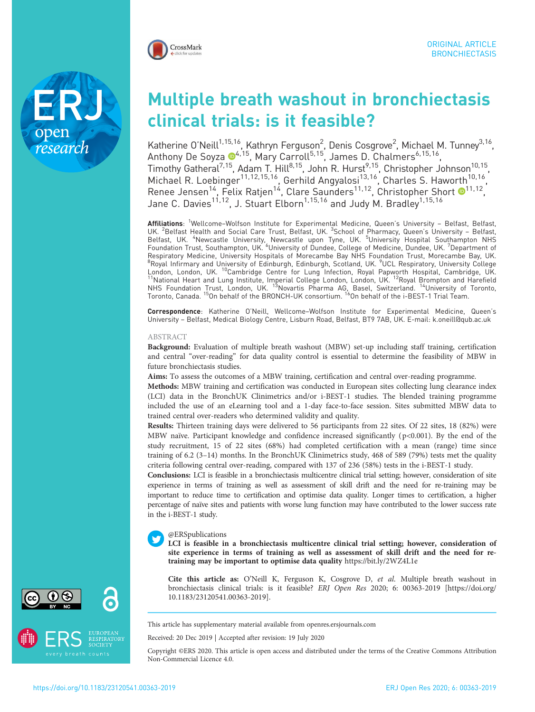

research

# Multiple breath washout in bronchiectasis clinical trials: is it feasible?

Katherine O'Neill<sup>1,15,16</sup>, Kathryn Ferguson<sup>2</sup>, Denis Cosgrove<sup>2</sup>, Michael M. Tunney<sup>3,16</sup>, Anthony De Soyza <sup>14,15</sup>, Mary Carroll<sup>5,15</sup>, James D. Chalmers<sup>6,15,16</sup>, Timothy Gatheral<sup>7,15</sup>, Adam T. Hill<sup>8,15</sup>, John R. Hurst<sup>9,15</sup>, Christopher Johnson<sup>10,15</sup>, Michael R. Loebinger<sup>11,12,15,16</sup>, Gerhild Angyalosi<sup>13,16</sup>, Charles S. Haworth<sup>10,16</sup>, Renee Jensen<sup>14</sup>, Felix Ratjen<sup>14</sup>, Clare Saunders<sup>11,12</sup>, Christopher Short <sup>11,12</sup>, Jane C. Davies<sup>11,12</sup>, J. Stuart Elborn<sup>1,15,16</sup> and Judy M. Bradley<sup>1,15,16</sup>

Affiliations: <sup>1</sup>Wellcome–Wolfson Institute for Experimental Medicine, Queen's University - Belfast, Belfast, UK. <sup>2</sup>Belfast Health and Social Care Trust, Belfast, UK. <sup>3</sup>School of Pharmacy, Queen's University – Belfast, Belfast, UK. <sup>4</sup>Newcastle University, Newcastle upon Tyne, UK. <sup>5</sup>University Hospital Southampton NHS<br>Foundation Trust, Southampton, UK. <sup>6</sup>University of Dundee, College of Medicine, Dundee, UK. <sup>7</sup>Department of Respiratory Medicine, University Hospitals of Morecambe Bay NHS Foundation Trust, Morecambe Bay, UK. <sup>8</sup>Royal Infirmary and University of Edinburgh, Edinburgh, Scotland, UK. <sup>9</sup>UCL Respiratory, University College London, London, UK. <sup>10</sup>Cambridge Centre for Lung Infection, Royal Papworth Hospital, Cambridge, UK.<br><sup>11</sup>National Heart and Lung Institute, Imperial College London, London, UK. <sup>12</sup>Royal Brompton and Harefield NHS Foundation Trust, London, UK. <sup>15</sup>Novartis Pharma AG, Basel, Switzerland. <sup>14</sup>University of Toronto, Toronto, Canada. <sup>15</sup>On behalf of the BRONCH-UK consortium. <sup>16</sup>On behalf of the i-BEST-1 Trial Team.

Correspondence: Katherine O'Neill, Wellcome–Wolfson Institute for Experimental Medicine, Queen's University – Belfast, Medical Biology Centre, Lisburn Road, Belfast, BT9 7AB, UK. E-mail: [k.oneill@qub.ac.uk](mailto:k.oneill@qub.ac.uk)

## ABSTRACT

Background: Evaluation of multiple breath washout (MBW) set-up including staff training, certification and central "over-reading" for data quality control is essential to determine the feasibility of MBW in future bronchiectasis studies.

Aims: To assess the outcomes of a MBW training, certification and central over-reading programme.

Methods: MBW training and certification was conducted in European sites collecting lung clearance index (LCI) data in the BronchUK Clinimetrics and/or i-BEST-1 studies. The blended training programme included the use of an eLearning tool and a 1-day face-to-face session. Sites submitted MBW data to trained central over-readers who determined validity and quality.

Results: Thirteen training days were delivered to 56 participants from 22 sites. Of 22 sites, 18 (82%) were MBW naïve. Participant knowledge and confidence increased significantly ( p<0.001). By the end of the study recruitment, 15 of 22 sites (68%) had completed certification with a mean (range) time since training of 6.2 (3–14) months. In the BronchUK Clinimetrics study, 468 of 589 (79%) tests met the quality criteria following central over-reading, compared with 137 of 236 (58%) tests in the i-BEST-1 study.

Conclusions: LCI is feasible in a bronchiectasis multicentre clinical trial setting; however, consideration of site experience in terms of training as well as assessment of skill drift and the need for re-training may be important to reduce time to certification and optimise data quality. Longer times to certification, a higher percentage of naïve sites and patients with worse lung function may have contributed to the lower success rate in the i-BEST-1 study.

# @ERSpublications

LCI is feasible in a bronchiectasis multicentre clinical trial setting; however, consideration of site experience in terms of training as well as assessment of skill drift and the need for retraining may be important to optimise data quality <https://bit.ly/2WZ4L1e>

Cite this article as: O'Neill K, Ferguson K, Cosgrove D, et al. Multiple breath washout in bronchiectasis clinical trials: is it feasible? ERJ Open Res 2020; 6: 00363-2019 [\[https://doi.org/](https://doi.org/10.1183/23120541.00363-2019) [10.1183/23120541.00363-2019\].](https://doi.org/10.1183/23120541.00363-2019)

This article has supplementary material available from<openres.ersjournals.com>

Received: 20 Dec 2019 | Accepted after revision: 19 July 2020

Copyright ©ERS 2020. This article is open access and distributed under the terms of the Creative Commons Attribution Non-Commercial Licence 4.0.



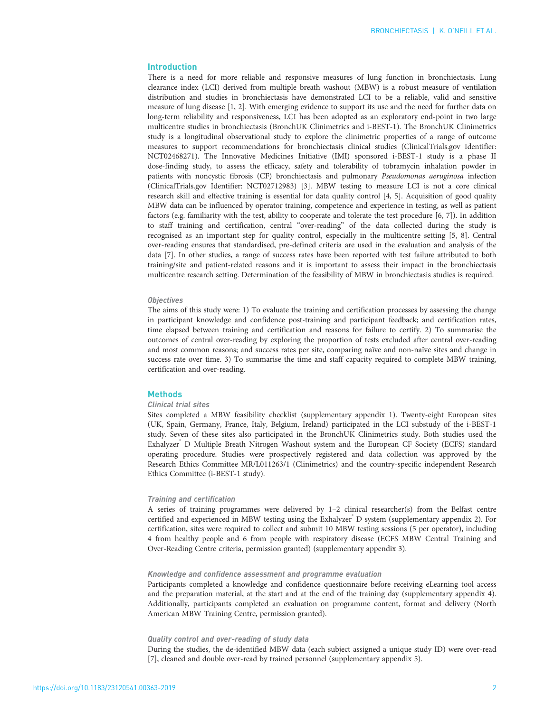# Introduction

There is a need for more reliable and responsive measures of lung function in bronchiectasis. Lung clearance index (LCI) derived from multiple breath washout (MBW) is a robust measure of ventilation distribution and studies in bronchiectasis have demonstrated LCI to be a reliable, valid and sensitive measure of lung disease [\[1, 2\]](#page-8-0). With emerging evidence to support its use and the need for further data on long-term reliability and responsiveness, LCI has been adopted as an exploratory end-point in two large multicentre studies in bronchiectasis (BronchUK Clinimetrics and i-BEST-1). The BronchUK Clinimetrics study is a longitudinal observational study to explore the clinimetric properties of a range of outcome measures to support recommendations for bronchiectasis clinical studies (ClinicalTrials.gov Identifier: NCT02468271). The Innovative Medicines Initiative (IMI) sponsored i-BEST-1 study is a phase II dose-finding study, to assess the efficacy, safety and tolerability of tobramycin inhalation powder in patients with noncystic fibrosis (CF) bronchiectasis and pulmonary Pseudomonas aeruginosa infection (ClinicalTrials.gov Identifier: NCT02712983) [\[3](#page-8-0)]. MBW testing to measure LCI is not a core clinical research skill and effective training is essential for data quality control [[4](#page-8-0), [5\]](#page-8-0). Acquisition of good quality MBW data can be influenced by operator training, competence and experience in testing, as well as patient factors (e.g. familiarity with the test, ability to cooperate and tolerate the test procedure [[6,](#page-8-0) [7](#page-9-0)]). In addition to staff training and certification, central "over-reading" of the data collected during the study is recognised as an important step for quality control, especially in the multicentre setting [\[5](#page-8-0), [8](#page-9-0)]. Central over-reading ensures that standardised, pre-defined criteria are used in the evaluation and analysis of the data [[7](#page-9-0)]. In other studies, a range of success rates have been reported with test failure attributed to both training/site and patient-related reasons and it is important to assess their impact in the bronchiectasis multicentre research setting. Determination of the feasibility of MBW in bronchiectasis studies is required.

#### **Objectives**

The aims of this study were: 1) To evaluate the training and certification processes by assessing the change in participant knowledge and confidence post-training and participant feedback; and certification rates, time elapsed between training and certification and reasons for failure to certify. 2) To summarise the outcomes of central over-reading by exploring the proportion of tests excluded after central over-reading and most common reasons; and success rates per site, comparing naïve and non-naïve sites and change in success rate over time. 3) To summarise the time and staff capacity required to complete MBW training, certification and over-reading.

# **Methods**

#### Clinical trial sites

Sites completed a MBW feasibility checklist [\(supplementary appendix 1](http://openres.ersjournals.com/lookup/doi/10.1183/23120541.00363-2019.figures-only#fig-data-supplementary-materials)). Twenty-eight European sites (UK, Spain, Germany, France, Italy, Belgium, Ireland) participated in the LCI substudy of the i-BEST-1 study. Seven of these sites also participated in the BronchUK Clinimetrics study. Both studies used the Exhalyzer<sup>®</sup> D Multiple Breath Nitrogen Washout system and the European CF Society (ECFS) standard operating procedure. Studies were prospectively registered and data collection was approved by the Research Ethics Committee MR/L011263/1 (Clinimetrics) and the country-specific independent Research Ethics Committee (i-BEST-1 study).

## Training and certification

A series of training programmes were delivered by 1–2 clinical researcher(s) from the Belfast centre certified and experienced in MBW testing using the Exhalyzer® D system [\(supplementary appendix 2\)](http://openres.ersjournals.com/lookup/doi/10.1183/23120541.00363-2019.figures-only#fig-data-supplementary-materials). For certification, sites were required to collect and submit 10 MBW testing sessions (5 per operator), including 4 from healthy people and 6 from people with respiratory disease (ECFS MBW Central Training and Over-Reading Centre criteria, permission granted) ([supplementary appendix 3\)](http://openres.ersjournals.com/lookup/doi/10.1183/23120541.00363-2019.figures-only#fig-data-supplementary-materials).

## Knowledge and confidence assessment and programme evaluation

Participants completed a knowledge and confidence questionnaire before receiving eLearning tool access and the preparation material, at the start and at the end of the training day ([supplementary appendix 4\)](http://openres.ersjournals.com/lookup/doi/10.1183/23120541.00363-2019.figures-only#fig-data-supplementary-materials). Additionally, participants completed an evaluation on programme content, format and delivery (North American MBW Training Centre, permission granted).

# Quality control and over-reading of study data

During the studies, the de-identified MBW data (each subject assigned a unique study ID) were over-read [[7\]](#page-9-0), cleaned and double over-read by trained personnel ([supplementary appendix 5\)](http://openres.ersjournals.com/lookup/doi/10.1183/23120541.00363-2019.figures-only#fig-data-supplementary-materials).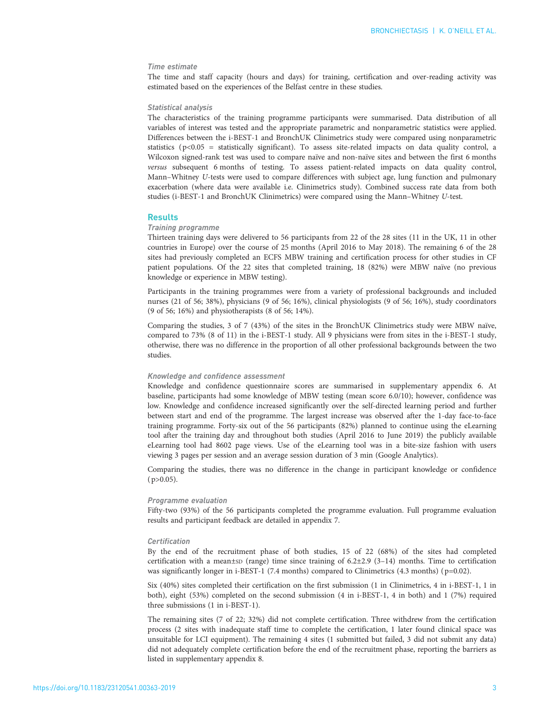# Time estimate

The time and staff capacity (hours and days) for training, certification and over-reading activity was estimated based on the experiences of the Belfast centre in these studies.

# Statistical analysis

The characteristics of the training programme participants were summarised. Data distribution of all variables of interest was tested and the appropriate parametric and nonparametric statistics were applied. Differences between the i-BEST-1 and BronchUK Clinimetrics study were compared using nonparametric statistics ( p<0.05 = statistically significant). To assess site-related impacts on data quality control, a Wilcoxon signed-rank test was used to compare naïve and non-naïve sites and between the first 6 months versus subsequent 6 months of testing. To assess patient-related impacts on data quality control, Mann–Whitney U-tests were used to compare differences with subject age, lung function and pulmonary exacerbation (where data were available i.e. Clinimetrics study). Combined success rate data from both studies (i-BEST-1 and BronchUK Clinimetrics) were compared using the Mann–Whitney U-test.

# **Results**

## Training programme

Thirteen training days were delivered to 56 participants from 22 of the 28 sites (11 in the UK, 11 in other countries in Europe) over the course of 25 months (April 2016 to May 2018). The remaining 6 of the 28 sites had previously completed an ECFS MBW training and certification process for other studies in CF patient populations. Of the 22 sites that completed training, 18 (82%) were MBW naïve (no previous knowledge or experience in MBW testing).

Participants in the training programmes were from a variety of professional backgrounds and included nurses (21 of 56; 38%), physicians (9 of 56; 16%), clinical physiologists (9 of 56; 16%), study coordinators (9 of 56; 16%) and physiotherapists (8 of 56; 14%).

Comparing the studies, 3 of 7 (43%) of the sites in the BronchUK Clinimetrics study were MBW naïve, compared to 73% (8 of 11) in the i-BEST-1 study. All 9 physicians were from sites in the i-BEST-1 study, otherwise, there was no difference in the proportion of all other professional backgrounds between the two studies.

### Knowledge and confidence assessment

Knowledge and confidence questionnaire scores are summarised in [supplementary appendix 6](http://openres.ersjournals.com/lookup/doi/10.1183/23120541.00363-2019.figures-only#fig-data-supplementary-materials). At baseline, participants had some knowledge of MBW testing (mean score 6.0/10); however, confidence was low. Knowledge and confidence increased significantly over the self-directed learning period and further between start and end of the programme. The largest increase was observed after the 1-day face-to-face training programme. Forty-six out of the 56 participants (82%) planned to continue using the eLearning tool after the training day and throughout both studies (April 2016 to June 2019) the publicly available eLearning tool had 8602 page views. Use of the eLearning tool was in a bite-size fashion with users viewing 3 pages per session and an average session duration of 3 min (Google Analytics).

Comparing the studies, there was no difference in the change in participant knowledge or confidence  $(p>0.05)$ .

#### Programme evaluation

Fifty-two (93%) of the 56 participants completed the programme evaluation. Full programme evaluation results and participant feedback are detailed in [appendix 7.](http://openres.ersjournals.com/lookup/doi/10.1183/23120541.00363-2019.figures-only#fig-data-supplementary-materials)

#### **Certification**

By the end of the recruitment phase of both studies, 15 of 22 (68%) of the sites had completed certification with a mean±sp (range) time since training of  $6.2\pm2.9$  (3-14) months. Time to certification was significantly longer in i-BEST-1 (7.4 months) compared to Clinimetrics (4.3 months) ( $p=0.02$ ).

Six (40%) sites completed their certification on the first submission (1 in Clinimetrics, 4 in i-BEST-1, 1 in both), eight (53%) completed on the second submission (4 in i-BEST-1, 4 in both) and 1 (7%) required three submissions (1 in i-BEST-1).

The remaining sites (7 of 22; 32%) did not complete certification. Three withdrew from the certification process (2 sites with inadequate staff time to complete the certification, 1 later found clinical space was unsuitable for LCI equipment). The remaining 4 sites (1 submitted but failed, 3 did not submit any data) did not adequately complete certification before the end of the recruitment phase, reporting the barriers as listed in [supplementary appendix 8.](http://openres.ersjournals.com/lookup/doi/10.1183/23120541.00363-2019.figures-only#fig-data-supplementary-materials)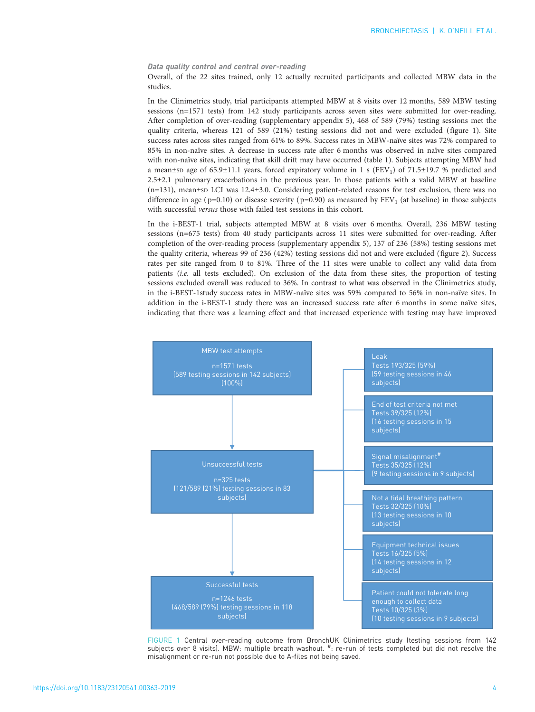## Data quality control and central over-reading

Overall, of the 22 sites trained, only 12 actually recruited participants and collected MBW data in the studies.

In the Clinimetrics study, trial participants attempted MBW at 8 visits over 12 months, 589 MBW testing sessions (n=1571 tests) from 142 study participants across seven sites were submitted for over-reading. After completion of over-reading [\(supplementary appendix 5](http://openres.ersjournals.com/lookup/doi/10.1183/23120541.00363-2019.figures-only#fig-data-supplementary-materials)), 468 of 589 (79%) testing sessions met the quality criteria, whereas 121 of 589 (21%) testing sessions did not and were excluded (figure 1). Site success rates across sites ranged from 61% to 89%. Success rates in MBW-naïve sites was 72% compared to 85% in non-naïve sites. A decrease in success rate after 6 months was observed in naïve sites compared with non-naïve sites, indicating that skill drift may have occurred [\(table 1\)](#page-4-0). Subjects attempting MBW had a mean±sp age of 65.9±11.1 years, forced expiratory volume in 1 s (FEV<sub>1</sub>) of 71.5±19.7 % predicted and 2.5±2.1 pulmonary exacerbations in the previous year. In those patients with a valid MBW at baseline  $(n=131)$ , mean±sp LCI was 12.4±3.0. Considering patient-related reasons for test exclusion, there was no difference in age ( $p=0.10$ ) or disease severity ( $p=0.90$ ) as measured by  $FEV<sub>1</sub>$  (at baseline) in those subjects with successful versus those with failed test sessions in this cohort.

In the i-BEST-1 trial, subjects attempted MBW at 8 visits over 6 months. Overall, 236 MBW testing sessions (n=675 tests) from 40 study participants across 11 sites were submitted for over-reading. After completion of the over-reading process ([supplementary appendix 5\)](http://openres.ersjournals.com/lookup/doi/10.1183/23120541.00363-2019.figures-only#fig-data-supplementary-materials), 137 of 236 (58%) testing sessions met the quality criteria, whereas 99 of 236 (42%) testing sessions did not and were excluded ([figure 2](#page-4-0)). Success rates per site ranged from 0 to 81%. Three of the 11 sites were unable to collect any valid data from patients (i.e. all tests excluded). On exclusion of the data from these sites, the proportion of testing sessions excluded overall was reduced to 36%. In contrast to what was observed in the Clinimetrics study, in the i-BEST-1study success rates in MBW-naïve sites was 59% compared to 56% in non-naïve sites. In addition in the i-BEST-1 study there was an increased success rate after 6 months in some naïve sites, indicating that there was a learning effect and that increased experience with testing may have improved



FIGURE 1 Central over-reading outcome from BronchUK Clinimetrics study (testing sessions from 142 subjects over 8 visits). MBW: multiple breath washout. #: re-run of tests completed but did not resolve the misalignment or re-run not possible due to A-files not being saved.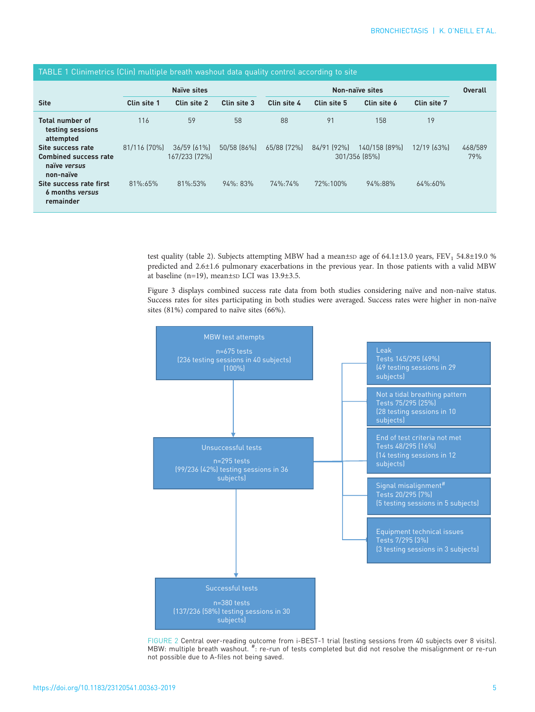<span id="page-4-0"></span>

| TABLE 1 Clinimetrics (Clin) multiple breath washout data quality control according to site |               |                                   |             |             |                |                                |             |                |  |  |
|--------------------------------------------------------------------------------------------|---------------|-----------------------------------|-------------|-------------|----------------|--------------------------------|-------------|----------------|--|--|
|                                                                                            |               | <b>Naïve sites</b>                |             |             | <b>Overall</b> |                                |             |                |  |  |
| <b>Site</b>                                                                                | Clin site 1   | Clin site 2                       | Clin site 3 | Clin site 4 | Clin site 5    | Clin site 6                    | Clin site 7 |                |  |  |
| <b>Total number of</b><br>testing sessions<br>attempted                                    | 116           | 59                                | 58          | 88          | 91             | 158                            | 19          |                |  |  |
| Site success rate<br><b>Combined success rate</b><br>naïve versus<br>non-naïve             | 81/116 [70%]  | $36/59$ $(61\%)$<br>167/233 [72%] | 50/58 (86%) | 65/88 [72%] | 84/91 [92%]    | 140/158 (89%)<br>301/356 [85%] | 12/19 [63%] | 468/589<br>79% |  |  |
| Site success rate first<br>6 months versus<br>remainder                                    | $81\% : 65\%$ | $81\% : 53\%$                     | $94\%:83\%$ | 74%:74%     | 72%:100%       | 94%:88%                        | 64%:60%     |                |  |  |

test quality [\(table 2\)](#page-5-0). Subjects attempting MBW had a mean±sp age of 64.1±13.0 years, FEV<sub>1</sub> 54.8±19.0 % predicted and 2.6±1.6 pulmonary exacerbations in the previous year. In those patients with a valid MBW at baseline (n=19), mean $\pm$ sp LCI was 13.9 $\pm$ 3.5.

[Figure 3](#page-5-0) displays combined success rate data from both studies considering naïve and non-naïve status. Success rates for sites participating in both studies were averaged. Success rates were higher in non-naïve sites (81%) compared to naïve sites (66%).



FIGURE 2 Central over-reading outcome from i-BEST-1 trial (testing sessions from 40 subjects over 8 visits).<br>MBW: multiple breath washout. #: re-run of tests completed but did not resolve the misalignment or re-run not possible due to A-files not being saved.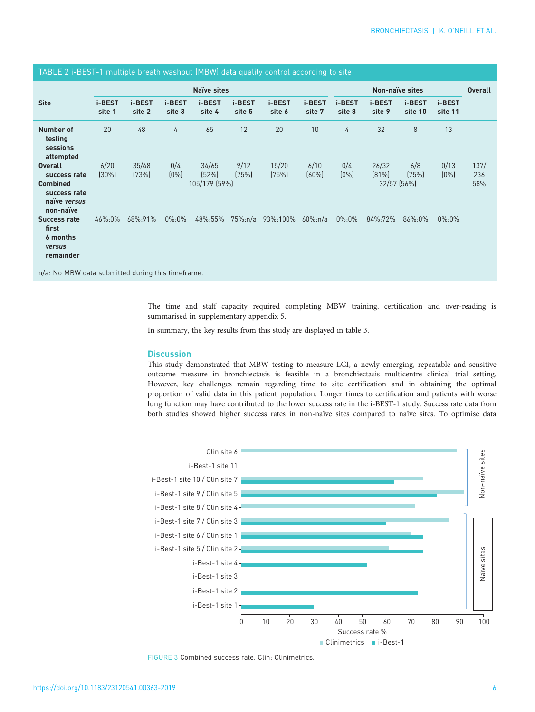<span id="page-5-0"></span>

| TABLE 2 i-BEST-1 multiple breath washout (MBW) data quality control according to site          |                    |                  |                  |                                 |                  |                  |                  |                  |                                  |                   |                   |                    |
|------------------------------------------------------------------------------------------------|--------------------|------------------|------------------|---------------------------------|------------------|------------------|------------------|------------------|----------------------------------|-------------------|-------------------|--------------------|
|                                                                                                | <b>Naïve sites</b> |                  |                  |                                 |                  |                  |                  |                  | <b>Overall</b>                   |                   |                   |                    |
| <b>Site</b>                                                                                    | i-BEST<br>site 1   | i-BEST<br>site 2 | i-BEST<br>site 3 | i-BEST<br>site 4                | i-BEST<br>site 5 | i-BEST<br>site 6 | i-BEST<br>site 7 | i-BEST<br>site 8 | i-BEST<br>site 9                 | i-BEST<br>site 10 | i-BEST<br>site 11 |                    |
| Number of<br>testing<br>sessions<br>attempted                                                  | 20                 | 48               | 4                | 65                              | 12               | 20               | 10               | 4                | 32                               | 8                 | 13                |                    |
| <b>Overall</b><br>success rate<br><b>Combined</b><br>success rate<br>naïve versus<br>non-naïve | 6/20<br>$(30\%)$   | 35/48<br>(73%)   | 0/4<br>$(0\%)$   | 34/65<br>(52%)<br>105/179 (59%) | 9/12<br>(75%)    | 15/20<br>(75%)   | 6/10<br>$(60\%)$ | 0/4<br>$(0\%)$   | 26/32<br>$(81\%)$<br>32/57 (56%) | 6/8<br>(75%)      | 0/13<br>$(0\%)$   | 137/<br>236<br>58% |
| Success rate<br>first<br>6 months<br>versus<br>remainder                                       | 46%:0%             | 68%:91%          | $0\%:0\%$        | 48%:55%                         | $75\%$ :n/a      | 93%:100%         | $60\%:n/a$       | $0\%:0\%$        | 84%:72%                          | 86%:0%            | $0\%:0\%$         |                    |
| n/a: No MBW data submitted during this timeframe.                                              |                    |                  |                  |                                 |                  |                  |                  |                  |                                  |                   |                   |                    |

The time and staff capacity required completing MBW training, certification and over-reading is summarised in [supplementary appendix 5.](http://openres.ersjournals.com/lookup/doi/10.1183/23120541.00363-2019.figures-only#fig-data-supplementary-materials)

In summary, the key results from this study are displayed in [table 3](#page-6-0).

# **Discussion**

This study demonstrated that MBW testing to measure LCI, a newly emerging, repeatable and sensitive outcome measure in bronchiectasis is feasible in a bronchiectasis multicentre clinical trial setting. However, key challenges remain regarding time to site certification and in obtaining the optimal proportion of valid data in this patient population. Longer times to certification and patients with worse lung function may have contributed to the lower success rate in the i-BEST-1 study. Success rate data from both studies showed higher success rates in non-naïve sites compared to naïve sites. To optimise data



FIGURE 3 Combined success rate. Clin: Clinimetrics.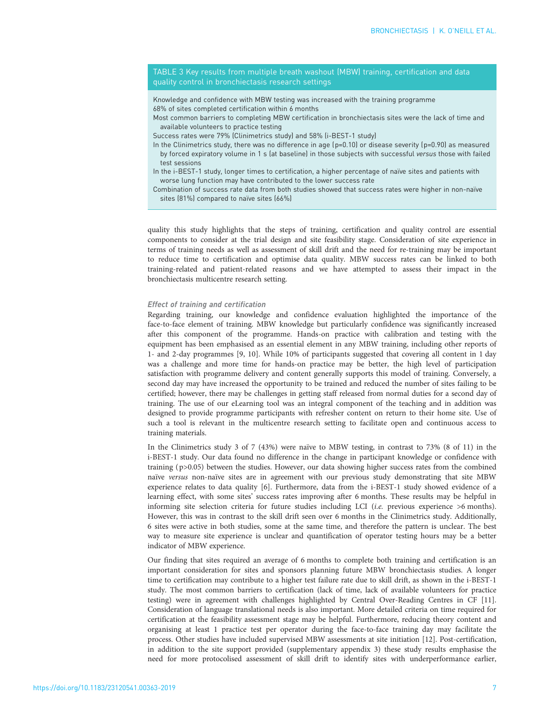<span id="page-6-0"></span>TABLE 3 Key results from multiple breath washout (MBW) training, certification and data quality control in bronchiectasis research settings

Knowledge and confidence with MBW testing was increased with the training programme 68% of sites completed certification within 6 months

Most common barriers to completing MBW certification in bronchiectasis sites were the lack of time and available volunteers to practice testing

Success rates were 79% (Clinimetrics study) and 58% (i-BEST-1 study)

- In the Clinimetrics study, there was no difference in age  $(p=0.10)$  or disease severity  $(p=0.90)$  as measured by forced expiratory volume in 1 s (at baseline) in those subjects with successful versus those with failed test sessions
- In the i-BEST-1 study, longer times to certification, a higher percentage of naïve sites and patients with worse lung function may have contributed to the lower success rate

Combination of success rate data from both studies showed that success rates were higher in non-naïve sites (81%) compared to naïve sites (66%)

quality this study highlights that the steps of training, certification and quality control are essential components to consider at the trial design and site feasibility stage. Consideration of site experience in terms of training needs as well as assessment of skill drift and the need for re-training may be important to reduce time to certification and optimise data quality. MBW success rates can be linked to both training-related and patient-related reasons and we have attempted to assess their impact in the bronchiectasis multicentre research setting.

## Effect of training and certification

Regarding training, our knowledge and confidence evaluation highlighted the importance of the face-to-face element of training. MBW knowledge but particularly confidence was significantly increased after this component of the programme. Hands-on practice with calibration and testing with the equipment has been emphasised as an essential element in any MBW training, including other reports of 1- and 2-day programmes [[9, 10\]](#page-9-0). While 10% of participants suggested that covering all content in 1 day was a challenge and more time for hands-on practice may be better, the high level of participation satisfaction with programme delivery and content generally supports this model of training. Conversely, a second day may have increased the opportunity to be trained and reduced the number of sites failing to be certified; however, there may be challenges in getting staff released from normal duties for a second day of training. The use of our eLearning tool was an integral component of the teaching and in addition was designed to provide programme participants with refresher content on return to their home site. Use of such a tool is relevant in the multicentre research setting to facilitate open and continuous access to training materials.

In the Clinimetrics study 3 of 7 (43%) were naïve to MBW testing, in contrast to 73% (8 of 11) in the i-BEST-1 study. Our data found no difference in the change in participant knowledge or confidence with training ( $p>0.05$ ) between the studies. However, our data showing higher success rates from the combined naïve versus non-naïve sites are in agreement with our previous study demonstrating that site MBW experience relates to data quality [[6\]](#page-8-0). Furthermore, data from the i-BEST-1 study showed evidence of a learning effect, with some sites' success rates improving after 6 months. These results may be helpful in informing site selection criteria for future studies including LCI (i.e. previous experience >6 months). However, this was in contrast to the skill drift seen over 6 months in the Clinimetrics study. Additionally, 6 sites were active in both studies, some at the same time, and therefore the pattern is unclear. The best way to measure site experience is unclear and quantification of operator testing hours may be a better indicator of MBW experience.

Our finding that sites required an average of 6 months to complete both training and certification is an important consideration for sites and sponsors planning future MBW bronchiectasis studies. A longer time to certification may contribute to a higher test failure rate due to skill drift, as shown in the i-BEST-1 study. The most common barriers to certification (lack of time, lack of available volunteers for practice testing) were in agreement with challenges highlighted by Central Over-Reading Centres in CF [\[11\]](#page-9-0). Consideration of language translational needs is also important. More detailed criteria on time required for certification at the feasibility assessment stage may be helpful. Furthermore, reducing theory content and organising at least 1 practice test per operator during the face-to-face training day may facilitate the process. Other studies have included supervised MBW assessments at site initiation [\[12\]](#page-9-0). Post-certification, in addition to the site support provided [\(supplementary appendix 3\)](http://openres.ersjournals.com/lookup/doi/10.1183/23120541.00363-2019.figures-only#fig-data-supplementary-materials) these study results emphasise the need for more protocolised assessment of skill drift to identify sites with underperformance earlier,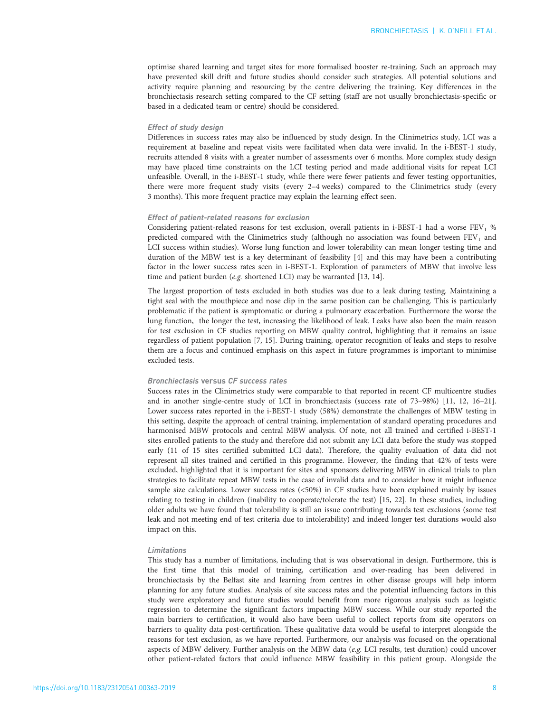optimise shared learning and target sites for more formalised booster re-training. Such an approach may have prevented skill drift and future studies should consider such strategies. All potential solutions and activity require planning and resourcing by the centre delivering the training. Key differences in the bronchiectasis research setting compared to the CF setting (staff are not usually bronchiectasis-specific or based in a dedicated team or centre) should be considered.

# Effect of study design

Differences in success rates may also be influenced by study design. In the Clinimetrics study, LCI was a requirement at baseline and repeat visits were facilitated when data were invalid. In the i-BEST-1 study, recruits attended 8 visits with a greater number of assessments over 6 months. More complex study design may have placed time constraints on the LCI testing period and made additional visits for repeat LCI unfeasible. Overall, in the i-BEST-1 study, while there were fewer patients and fewer testing opportunities, there were more frequent study visits (every 2–4 weeks) compared to the Clinimetrics study (every 3 months). This more frequent practice may explain the learning effect seen.

#### Effect of patient-related reasons for exclusion

Considering patient-related reasons for test exclusion, overall patients in i-BEST-1 had a worse  $FEV<sub>1</sub> %$ predicted compared with the Clinimetrics study (although no association was found between FEV<sub>1</sub> and LCI success within studies). Worse lung function and lower tolerability can mean longer testing time and duration of the MBW test is a key determinant of feasibility [\[4](#page-8-0)] and this may have been a contributing factor in the lower success rates seen in i-BEST-1. Exploration of parameters of MBW that involve less time and patient burden (e.g. shortened LCI) may be warranted [[13, 14\]](#page-9-0).

The largest proportion of tests excluded in both studies was due to a leak during testing. Maintaining a tight seal with the mouthpiece and nose clip in the same position can be challenging. This is particularly problematic if the patient is symptomatic or during a pulmonary exacerbation. Furthermore the worse the lung function, the longer the test, increasing the likelihood of leak. Leaks have also been the main reason for test exclusion in CF studies reporting on MBW quality control, highlighting that it remains an issue regardless of patient population [[7, 15\]](#page-9-0). During training, operator recognition of leaks and steps to resolve them are a focus and continued emphasis on this aspect in future programmes is important to minimise excluded tests.

## Bronchiectasis versus CF success rates

Success rates in the Clinimetrics study were comparable to that reported in recent CF multicentre studies and in another single-centre study of LCI in bronchiectasis (success rate of 73–98%) [\[11, 12, 16](#page-9-0)–[21\]](#page-9-0). Lower success rates reported in the i-BEST-1 study (58%) demonstrate the challenges of MBW testing in this setting, despite the approach of central training, implementation of standard operating procedures and harmonised MBW protocols and central MBW analysis. Of note, not all trained and certified i-BEST-1 sites enrolled patients to the study and therefore did not submit any LCI data before the study was stopped early (11 of 15 sites certified submitted LCI data). Therefore, the quality evaluation of data did not represent all sites trained and certified in this programme. However, the finding that 42% of tests were excluded, highlighted that it is important for sites and sponsors delivering MBW in clinical trials to plan strategies to facilitate repeat MBW tests in the case of invalid data and to consider how it might influence sample size calculations. Lower success rates (<50%) in CF studies have been explained mainly by issues relating to testing in children (inability to cooperate/tolerate the test) [\[15, 22\]](#page-9-0). In these studies, including older adults we have found that tolerability is still an issue contributing towards test exclusions (some test leak and not meeting end of test criteria due to intolerability) and indeed longer test durations would also impact on this.

## Limitations

This study has a number of limitations, including that is was observational in design. Furthermore, this is the first time that this model of training, certification and over-reading has been delivered in bronchiectasis by the Belfast site and learning from centres in other disease groups will help inform planning for any future studies. Analysis of site success rates and the potential influencing factors in this study were exploratory and future studies would benefit from more rigorous analysis such as logistic regression to determine the significant factors impacting MBW success. While our study reported the main barriers to certification, it would also have been useful to collect reports from site operators on barriers to quality data post-certification. These qualitative data would be useful to interpret alongside the reasons for test exclusion, as we have reported. Furthermore, our analysis was focused on the operational aspects of MBW delivery. Further analysis on the MBW data (e.g. LCI results, test duration) could uncover other patient-related factors that could influence MBW feasibility in this patient group. Alongside the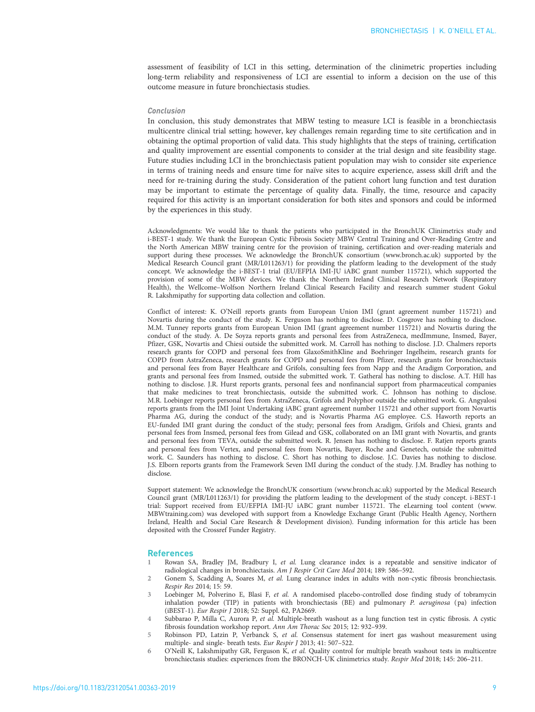<span id="page-8-0"></span>assessment of feasibility of LCI in this setting, determination of the clinimetric properties including long-term reliability and responsiveness of LCI are essential to inform a decision on the use of this outcome measure in future bronchiectasis studies.

#### Conclusion

In conclusion, this study demonstrates that MBW testing to measure LCI is feasible in a bronchiectasis multicentre clinical trial setting; however, key challenges remain regarding time to site certification and in obtaining the optimal proportion of valid data. This study highlights that the steps of training, certification and quality improvement are essential components to consider at the trial design and site feasibility stage. Future studies including LCI in the bronchiectasis patient population may wish to consider site experience in terms of training needs and ensure time for naïve sites to acquire experience, assess skill drift and the need for re-training during the study. Consideration of the patient cohort lung function and test duration may be important to estimate the percentage of quality data. Finally, the time, resource and capacity required for this activity is an important consideration for both sites and sponsors and could be informed by the experiences in this study.

Acknowledgments: We would like to thank the patients who participated in the BronchUK Clinimetrics study and i-BEST-1 study. We thank the European Cystic Fibrosis Society MBW Central Training and Over-Reading Centre and the North American MBW training centre for the provision of training, certification and over-reading materials and support during these processes. We acknowledge the BronchUK consortium [\(www.bronch.ac.uk](http://www.bronch.ac.uk)) supported by the Medical Research Council grant (MR/L011263/1) for providing the platform leading to the development of the study concept. We acknowledge the i-BEST-1 trial (EU/EFPIA IMI-JU iABC grant number 115721), which supported the provision of some of the MBW devices. We thank the Northern Ireland Clinical Research Network (Respiratory Health), the Wellcome–Wolfson Northern Ireland Clinical Research Facility and research summer student Gokul R. Lakshmipathy for supporting data collection and collation.

Conflict of interest: K. O'Neill reports grants from European Union IMI (grant agreement number 115721) and Novartis during the conduct of the study. K. Ferguson has nothing to disclose. D. Cosgrove has nothing to disclose. M.M. Tunney reports grants from European Union IMI (grant agreement number 115721) and Novartis during the conduct of the study. A. De Soyza reports grants and personal fees from AstraZeneca, medImmune, Insmed, Bayer, Pfizer, GSK, Novartis and Chiesi outside the submitted work. M. Carroll has nothing to disclose. J.D. Chalmers reports research grants for COPD and personal fees from GlaxoSmithKline and Boehringer Ingelheim, research grants for COPD from AstraZeneca, research grants for COPD and personal fees from Pfizer, research grants for bronchiectasis and personal fees from Bayer Healthcare and Grifols, consulting fees from Napp and the Aradigm Corporation, and grants and personal fees from Insmed, outside the submitted work. T. Gatheral has nothing to disclose. A.T. Hill has nothing to disclose. J.R. Hurst reports grants, personal fees and nonfinancial support from pharmaceutical companies that make medicines to treat bronchiectasis, outside the submitted work. C. Johnson has nothing to disclose. M.R. Loebinger reports personal fees from AstraZeneca, Grifols and Polyphor outside the submitted work. G. Angyalosi reports grants from the IMI Joint Undertaking iABC grant agreement number 115721 and other support from Novartis Pharma AG, during the conduct of the study; and is Novartis Pharma AG employee. C.S. Haworth reports an EU-funded IMI grant during the conduct of the study; personal fees from Aradigm, Grifols and Chiesi, grants and personal fees from Insmed, personal fees from Gilead and GSK, collaborated on an IMI grant with Novartis, and grants and personal fees from TEVA, outside the submitted work. R. Jensen has nothing to disclose. F. Ratjen reports grants and personal fees from Vertex, and personal fees from Novartis, Bayer, Roche and Genetech, outside the submitted work. C. Saunders has nothing to disclose. C. Short has nothing to disclose. J.C. Davies has nothing to disclose. J.S. Elborn reports grants from the Framework Seven IMI during the conduct of the study. J.M. Bradley has nothing to disclose.

Support statement: We acknowledge the BronchUK consortium [\(www.bronch.ac.uk\)](http://www.bronch.ac.uk) supported by the Medical Research Council grant (MR/L011263/1) for providing the platform leading to the development of the study concept. i-BEST-1 trial: Support received from EU/EFPIA IMI-JU iABC grant number 115721. The eLearning tool content ([www.](http://www.MBWtraining.com) [MBWtraining.com](http://www.MBWtraining.com)) was developed with support from a Knowledge Exchange Grant (Public Health Agency, Northern Ireland, Health and Social Care Research & Development division). Funding information for this article has been deposited with the [Crossref Funder Registry.](https://www.crossref.org/services/funder-registry/)

#### **References**

- 1 Rowan SA, Bradley JM, Bradbury I, et al. Lung clearance index is a repeatable and sensitive indicator of radiological changes in bronchiectasis. Am J Respir Crit Care Med 2014; 189: 586–592.
- Gonem S, Scadding A, Soares M, et al. Lung clearance index in adults with non-cystic fibrosis bronchiectasis. Respir Res 2014; 15: 59.
- 3 Loebinger M, Polverino E, Blasi F, et al. A randomised placebo-controlled dose finding study of tobramycin inhalation powder (TIP) in patients with bronchiectasis (BE) and pulmonary P. aeruginosa (pa) infection (iBEST-1). Eur Respir J 2018; 52: Suppl. 62, PA2669.
- 4 Subbarao P, Milla C, Aurora P, et al. Multiple-breath washout as a lung function test in cystic fibrosis. A cystic fibrosis foundation workshop report. Ann Am Thorac Soc 2015; 12: 932–939.
- 5 Robinson PD, Latzin P, Verbanck S, et al. Consensus statement for inert gas washout measurement using multiple- and single- breath tests. Eur Respir J 2013; 41: 507–522.
- 6 O'Neill K, Lakshmipathy GR, Ferguson K, et al. Quality control for multiple breath washout tests in multicentre bronchiectasis studies: experiences from the BRONCH-UK clinimetrics study. Respir Med 2018; 145: 206–211.